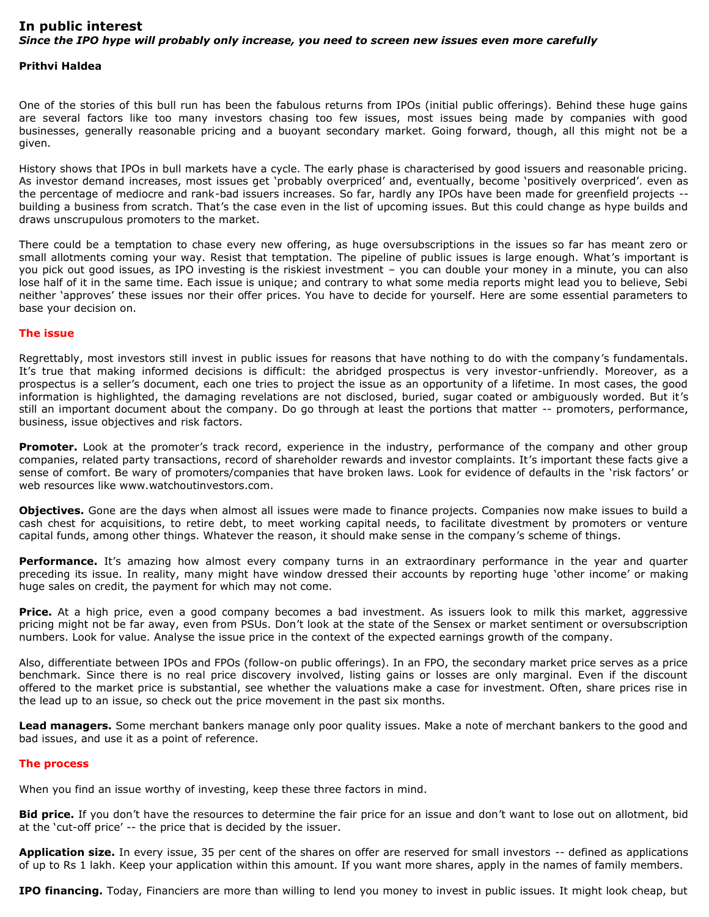## **In public interest** *Since the IPO hype will probably only increase, you need to screen new issues even more carefully*

## **Prithvi Haldea**

One of the stories of this bull run has been the fabulous returns from IPOs (initial public offerings). Behind these huge gains are several factors like too many investors chasing too few issues, most issues being made by companies with good businesses, generally reasonable pricing and a buoyant secondary market. Going forward, though, all this might not be a given.

History shows that IPOs in bull markets have a cycle. The early phase is characterised by good issuers and reasonable pricing. As investor demand increases, most issues get 'probably overpriced' and, eventually, become 'positively overpriced'. even as the percentage of mediocre and rank-bad issuers increases. So far, hardly any IPOs have been made for greenfield projects - building a business from scratch. That's the case even in the list of upcoming issues. But this could change as hype builds and draws unscrupulous promoters to the market.

There could be a temptation to chase every new offering, as huge oversubscriptions in the issues so far has meant zero or small allotments coming your way. Resist that temptation. The pipeline of public issues is large enough. What's important is you pick out good issues, as IPO investing is the riskiest investment – you can double your money in a minute, you can also lose half of it in the same time. Each issue is unique; and contrary to what some media reports might lead you to believe, Sebi neither 'approves' these issues nor their offer prices. You have to decide for yourself. Here are some essential parameters to base your decision on.

## **The issue**

Regrettably, most investors still invest in public issues for reasons that have nothing to do with the company's fundamentals. It's true that making informed decisions is difficult: the abridged prospectus is very investor-unfriendly. Moreover, as a prospectus is a seller's document, each one tries to project the issue as an opportunity of a lifetime. In most cases, the good information is highlighted, the damaging revelations are not disclosed, buried, sugar coated or ambiguously worded. But it's still an important document about the company. Do go through at least the portions that matter -- promoters, performance, business, issue objectives and risk factors.

Promoter. Look at the promoter's track record, experience in the industry, performance of the company and other group companies, related party transactions, record of shareholder rewards and investor complaints. It's important these facts give a sense of comfort. Be wary of promoters/companies that have broken laws. Look for evidence of defaults in the 'risk factors' or web resources like www.watchoutinvestors.com.

**Objectives.** Gone are the days when almost all issues were made to finance projects. Companies now make issues to build a cash chest for acquisitions, to retire debt, to meet working capital needs, to facilitate divestment by promoters or venture capital funds, among other things. Whatever the reason, it should make sense in the company's scheme of things.

**Performance.** It's amazing how almost every company turns in an extraordinary performance in the year and quarter preceding its issue. In reality, many might have window dressed their accounts by reporting huge 'other income' or making huge sales on credit, the payment for which may not come.

**Price.** At a high price, even a good company becomes a bad investment. As issuers look to milk this market, aggressive pricing might not be far away, even from PSUs. Don't look at the state of the Sensex or market sentiment or oversubscription numbers. Look for value. Analyse the issue price in the context of the expected earnings growth of the company.

Also, differentiate between IPOs and FPOs (follow-on public offerings). In an FPO, the secondary market price serves as a price benchmark. Since there is no real price discovery involved, listing gains or losses are only marginal. Even if the discount offered to the market price is substantial, see whether the valuations make a case for investment. Often, share prices rise in the lead up to an issue, so check out the price movement in the past six months.

**Lead managers.** Some merchant bankers manage only poor quality issues. Make a note of merchant bankers to the good and bad issues, and use it as a point of reference.

## **The process**

When you find an issue worthy of investing, keep these three factors in mind.

**Bid price.** If you don't have the resources to determine the fair price for an issue and don't want to lose out on allotment, bid at the 'cut-off price' -- the price that is decided by the issuer.

**Application size.** In every issue, 35 per cent of the shares on offer are reserved for small investors -- defined as applications of up to Rs 1 lakh. Keep your application within this amount. If you want more shares, apply in the names of family members.

**IPO financing.** Today, Financiers are more than willing to lend you money to invest in public issues. It might look cheap, but